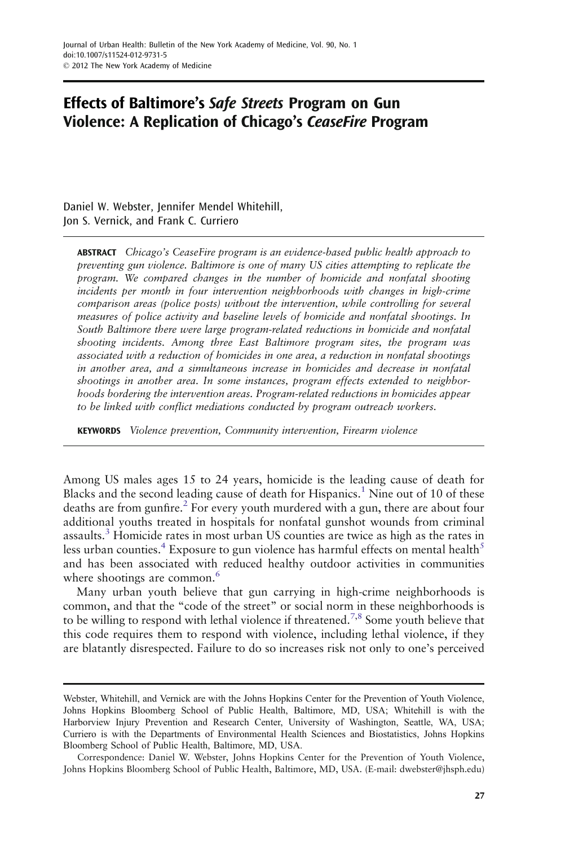# Effects of Baltimore's Safe Streets Program on Gun Violence: A Replication of Chicago's CeaseFire Program

Daniel W. Webster, Jennifer Mendel Whitehill, Jon S. Vernick, and Frank C. Curriero

ABSTRACT Chicago's CeaseFire program is an evidence-based public health approach to preventing gun violence. Baltimore is one of many US cities attempting to replicate the program. We compared changes in the number of homicide and nonfatal shooting incidents per month in four intervention neighborhoods with changes in high-crime comparison areas (police posts) without the intervention, while controlling for several measures of police activity and baseline levels of homicide and nonfatal shootings. In South Baltimore there were large program-related reductions in homicide and nonfatal shooting incidents. Among three East Baltimore program sites, the program was associated with a reduction of homicides in one area, a reduction in nonfatal shootings in another area, and a simultaneous increase in homicides and decrease in nonfatal shootings in another area. In some instances, program effects extended to neighborhoods bordering the intervention areas. Program-related reductions in homicides appear to be linked with conflict mediations conducted by program outreach workers.

KEYWORDS Violence prevention, Community intervention, Firearm violence

Among US males ages 15 to 24 years, homicide is the leading cause of death for Blacks and the second leading cause of death for Hispanics.<sup>1</sup> Nine out of 10 of these deaths are from gunfire.<sup>[2](#page-12-0)</sup> For every youth murdered with a gun, there are about four additional youths treated in hospitals for nonfatal gunshot wounds from criminal assaults.[3](#page-12-0) Homicide rates in most urban US counties are twice as high as the rates in less urban counties.<sup>[4](#page-12-0)</sup> Exposure to gun violence has harmful effects on mental health<sup>[5](#page-13-0)</sup> and has been associated with reduced healthy outdoor activities in communities where shootings are common.<sup>[6](#page-13-0)</sup>

Many urban youth believe that gun carrying in high-crime neighborhoods is common, and that the "code of the street" or social norm in these neighborhoods is to be willing to respond with lethal violence if threatened.<sup>[7,8](#page-13-0)</sup> Some youth believe that this code requires them to respond with violence, including lethal violence, if they are blatantly disrespected. Failure to do so increases risk not only to one's perceived

Webster, Whitehill, and Vernick are with the Johns Hopkins Center for the Prevention of Youth Violence, Johns Hopkins Bloomberg School of Public Health, Baltimore, MD, USA; Whitehill is with the Harborview Injury Prevention and Research Center, University of Washington, Seattle, WA, USA; Curriero is with the Departments of Environmental Health Sciences and Biostatistics, Johns Hopkins Bloomberg School of Public Health, Baltimore, MD, USA.

Correspondence: Daniel W. Webster, Johns Hopkins Center for the Prevention of Youth Violence, Johns Hopkins Bloomberg School of Public Health, Baltimore, MD, USA. (E-mail: dwebster@jhsph.edu)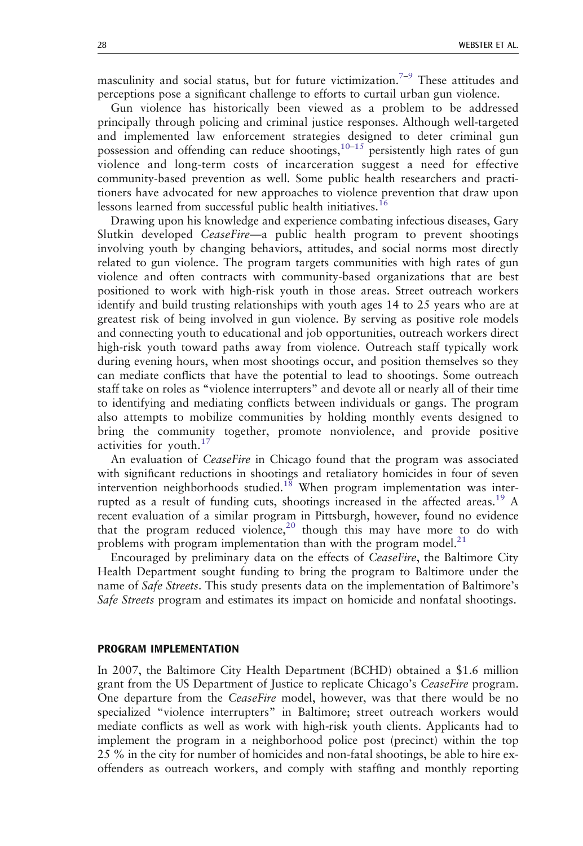masculinity and social status, but for future victimization.<sup>[7](#page-13-0)–[9](#page-13-0)</sup> These attitudes and perceptions pose a significant challenge to efforts to curtail urban gun violence.

Gun violence has historically been viewed as a problem to be addressed principally through policing and criminal justice responses. Although well-targeted and implemented law enforcement strategies designed to deter criminal gun possession and offending can reduce shootings, $10-15$  $10-15$  $10-15$  persistently high rates of gun violence and long-term costs of incarceration suggest a need for effective community-based prevention as well. Some public health researchers and practitioners have advocated for new approaches to violence prevention that draw upon lessons learned from successful public health initiatives.<sup>[16](#page-13-0)</sup>

Drawing upon his knowledge and experience combating infectious diseases, Gary Slutkin developed CeaseFire—a public health program to prevent shootings involving youth by changing behaviors, attitudes, and social norms most directly related to gun violence. The program targets communities with high rates of gun violence and often contracts with community-based organizations that are best positioned to work with high-risk youth in those areas. Street outreach workers identify and build trusting relationships with youth ages 14 to 25 years who are at greatest risk of being involved in gun violence. By serving as positive role models and connecting youth to educational and job opportunities, outreach workers direct high-risk youth toward paths away from violence. Outreach staff typically work during evening hours, when most shootings occur, and position themselves so they can mediate conflicts that have the potential to lead to shootings. Some outreach staff take on roles as "violence interrupters" and devote all or nearly all of their time to identifying and mediating conflicts between individuals or gangs. The program also attempts to mobilize communities by holding monthly events designed to bring the community together, promote nonviolence, and provide positive activities for youth.<sup>[17](#page-13-0)</sup>

An evaluation of CeaseFire in Chicago found that the program was associated with significant reductions in shootings and retaliatory homicides in four of seven intervention neighborhoods studied.<sup>[18](#page-13-0)</sup> When program implementation was inter-rupted as a result of funding cuts, shootings increased in the affected areas.<sup>[19](#page-13-0)</sup> A recent evaluation of a similar program in Pittsburgh, however, found no evidence that the program reduced violence,<sup>20</sup> though this may have more to do with problems with program implementation than with the program model. $^{21}$  $^{21}$  $^{21}$ 

Encouraged by preliminary data on the effects of CeaseFire, the Baltimore City Health Department sought funding to bring the program to Baltimore under the name of Safe Streets. This study presents data on the implementation of Baltimore's Safe Streets program and estimates its impact on homicide and nonfatal shootings.

#### PROGRAM IMPLEMENTATION

In 2007, the Baltimore City Health Department (BCHD) obtained a \$1.6 million grant from the US Department of Justice to replicate Chicago's CeaseFire program. One departure from the CeaseFire model, however, was that there would be no specialized "violence interrupters" in Baltimore; street outreach workers would mediate conflicts as well as work with high-risk youth clients. Applicants had to implement the program in a neighborhood police post (precinct) within the top 25 % in the city for number of homicides and non-fatal shootings, be able to hire exoffenders as outreach workers, and comply with staffing and monthly reporting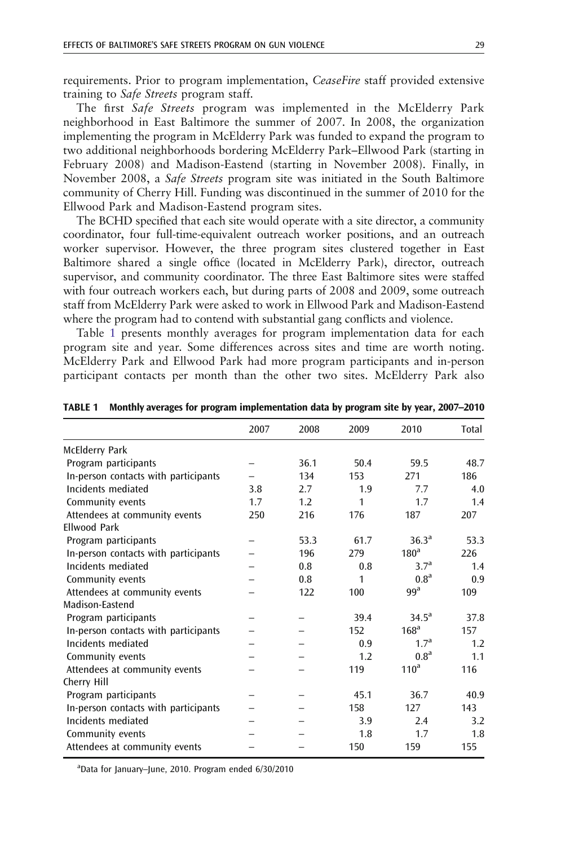requirements. Prior to program implementation, CeaseFire staff provided extensive training to Safe Streets program staff.

The first Safe Streets program was implemented in the McElderry Park neighborhood in East Baltimore the summer of 2007. In 2008, the organization implementing the program in McElderry Park was funded to expand the program to two additional neighborhoods bordering McElderry Park–Ellwood Park (starting in February 2008) and Madison-Eastend (starting in November 2008). Finally, in November 2008, a Safe Streets program site was initiated in the South Baltimore community of Cherry Hill. Funding was discontinued in the summer of 2010 for the Ellwood Park and Madison-Eastend program sites.

The BCHD specified that each site would operate with a site director, a community coordinator, four full-time-equivalent outreach worker positions, and an outreach worker supervisor. However, the three program sites clustered together in East Baltimore shared a single office (located in McElderry Park), director, outreach supervisor, and community coordinator. The three East Baltimore sites were staffed with four outreach workers each, but during parts of 2008 and 2009, some outreach staff from McElderry Park were asked to work in Ellwood Park and Madison-Eastend where the program had to contend with substantial gang conflicts and violence.

Table 1 presents monthly averages for program implementation data for each program site and year. Some differences across sites and time are worth noting. McElderry Park and Ellwood Park had more program participants and in-person participant contacts per month than the other two sites. McElderry Park also

|                                      | 2007 | 2008 | 2009 | 2010              | Total |
|--------------------------------------|------|------|------|-------------------|-------|
| <b>McElderry Park</b>                |      |      |      |                   |       |
| Program participants                 |      | 36.1 | 50.4 | 59.5              | 48.7  |
| In-person contacts with participants |      | 134  | 153  | 271               | 186   |
| Incidents mediated                   | 3.8  | 2.7  | 1.9  | 7.7               | 4.0   |
| Community events                     | 1.7  | 1.2  | 1    | 1.7               | 1.4   |
| Attendees at community events        | 250  | 216  | 176  | 187               | 207   |
| <b>Ellwood Park</b>                  |      |      |      |                   |       |
| Program participants                 |      | 53.3 | 61.7 | 36.3 <sup>a</sup> | 53.3  |
| In-person contacts with participants |      | 196  | 279  | 180 <sup>a</sup>  | 226   |
| Incidents mediated                   |      | 0.8  | 0.8  | 3.7 <sup>a</sup>  | 1.4   |
| Community events                     |      | 0.8  | 1    | 0.8 <sup>a</sup>  | 0.9   |
| Attendees at community events        |      | 122  | 100  | 99 <sup>a</sup>   | 109   |
| Madison-Eastend                      |      |      |      |                   |       |
| Program participants                 |      |      | 39.4 | 34.5 <sup>a</sup> | 37.8  |
| In-person contacts with participants |      |      | 152  | 168 <sup>a</sup>  | 157   |
| Incidents mediated                   |      |      | 0.9  | 1.7 <sup>a</sup>  | 1.2   |
| Community events                     |      |      | 1.2  | 0.8 <sup>a</sup>  | 1.1   |
| Attendees at community events        |      |      | 119  | 110 <sup>a</sup>  | 116   |
| Cherry Hill                          |      |      |      |                   |       |
| Program participants                 |      |      | 45.1 | 36.7              | 40.9  |
| In-person contacts with participants |      |      | 158  | 127               | 143   |
| Incidents mediated                   |      |      | 3.9  | 2.4               | 3.2   |
| Community events                     |      |      | 1.8  | 1.7               | 1.8   |
| Attendees at community events        |      |      | 150  | 159               | 155   |

TABLE 1 Monthly averages for program implementation data by program site by year, 2007–2010

<sup>a</sup>Data for January–June, 2010. Program ended 6/30/2010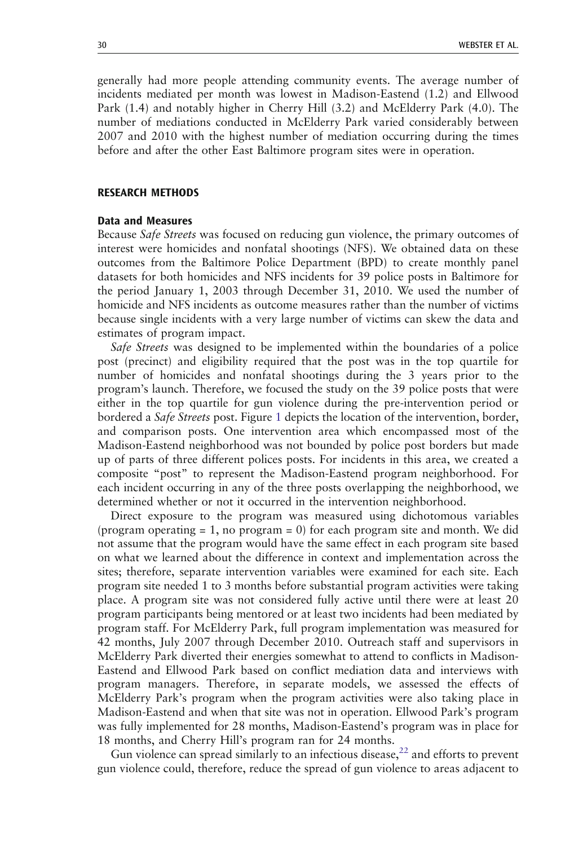generally had more people attending community events. The average number of incidents mediated per month was lowest in Madison-Eastend (1.2) and Ellwood Park (1.4) and notably higher in Cherry Hill (3.2) and McElderry Park (4.0). The number of mediations conducted in McElderry Park varied considerably between 2007 and 2010 with the highest number of mediation occurring during the times before and after the other East Baltimore program sites were in operation.

# RESEARCH METHODS

# Data and Measures

Because Safe Streets was focused on reducing gun violence, the primary outcomes of interest were homicides and nonfatal shootings (NFS). We obtained data on these outcomes from the Baltimore Police Department (BPD) to create monthly panel datasets for both homicides and NFS incidents for 39 police posts in Baltimore for the period January 1, 2003 through December 31, 2010. We used the number of homicide and NFS incidents as outcome measures rather than the number of victims because single incidents with a very large number of victims can skew the data and estimates of program impact.

Safe Streets was designed to be implemented within the boundaries of a police post (precinct) and eligibility required that the post was in the top quartile for number of homicides and nonfatal shootings during the 3 years prior to the program's launch. Therefore, we focused the study on the 39 police posts that were either in the top quartile for gun violence during the pre-intervention period or bordered a Safe Streets post. Figure [1](#page-4-0) depicts the location of the intervention, border, and comparison posts. One intervention area which encompassed most of the Madison-Eastend neighborhood was not bounded by police post borders but made up of parts of three different polices posts. For incidents in this area, we created a composite "post" to represent the Madison-Eastend program neighborhood. For each incident occurring in any of the three posts overlapping the neighborhood, we determined whether or not it occurred in the intervention neighborhood.

Direct exposure to the program was measured using dichotomous variables (program operating = 1, no program = 0) for each program site and month. We did not assume that the program would have the same effect in each program site based on what we learned about the difference in context and implementation across the sites; therefore, separate intervention variables were examined for each site. Each program site needed 1 to 3 months before substantial program activities were taking place. A program site was not considered fully active until there were at least 20 program participants being mentored or at least two incidents had been mediated by program staff. For McElderry Park, full program implementation was measured for 42 months, July 2007 through December 2010. Outreach staff and supervisors in McElderry Park diverted their energies somewhat to attend to conflicts in Madison-Eastend and Ellwood Park based on conflict mediation data and interviews with program managers. Therefore, in separate models, we assessed the effects of McElderry Park's program when the program activities were also taking place in Madison-Eastend and when that site was not in operation. Ellwood Park's program was fully implemented for 28 months, Madison-Eastend's program was in place for 18 months, and Cherry Hill's program ran for 24 months.

Gun violence can spread similarly to an infectious disease,  $^{22}$  $^{22}$  $^{22}$  and efforts to prevent gun violence could, therefore, reduce the spread of gun violence to areas adjacent to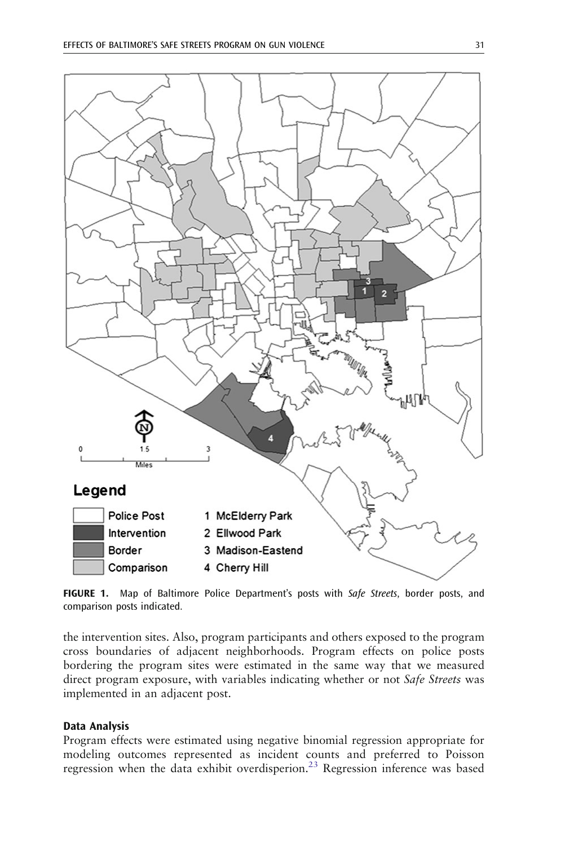<span id="page-4-0"></span>

FIGURE 1. Map of Baltimore Police Department's posts with Safe Streets, border posts, and comparison posts indicated.

the intervention sites. Also, program participants and others exposed to the program cross boundaries of adjacent neighborhoods. Program effects on police posts bordering the program sites were estimated in the same way that we measured direct program exposure, with variables indicating whether or not Safe Streets was implemented in an adjacent post.

# Data Analysis

Program effects were estimated using negative binomial regression appropriate for modeling outcomes represented as incident counts and preferred to Poisson regression when the data exhibit overdisperion.[23](#page-13-0) Regression inference was based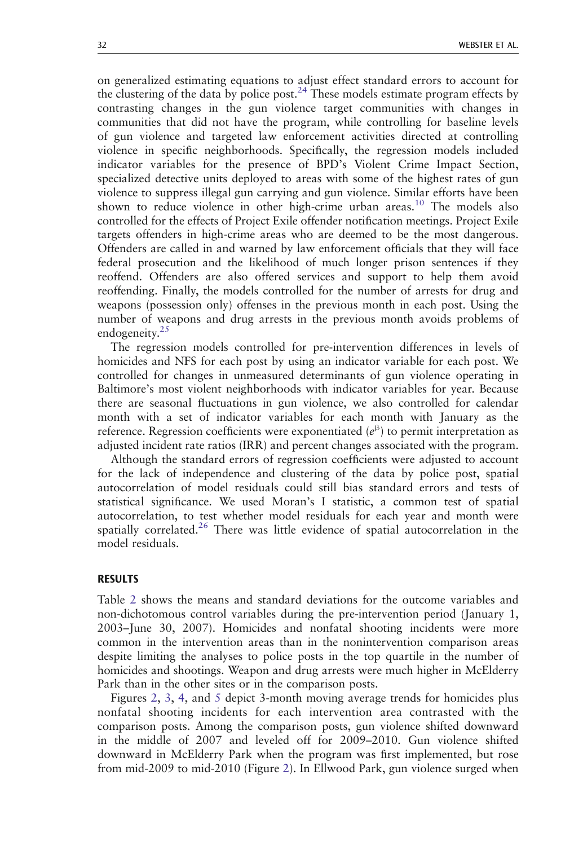on generalized estimating equations to adjust effect standard errors to account for the clustering of the data by police post.<sup>[24](#page-13-0)</sup> These models estimate program effects by contrasting changes in the gun violence target communities with changes in communities that did not have the program, while controlling for baseline levels of gun violence and targeted law enforcement activities directed at controlling violence in specific neighborhoods. Specifically, the regression models included indicator variables for the presence of BPD's Violent Crime Impact Section, specialized detective units deployed to areas with some of the highest rates of gun violence to suppress illegal gun carrying and gun violence. Similar efforts have been shown to reduce violence in other high-crime urban areas.<sup>[10](#page-13-0)</sup> The models also controlled for the effects of Project Exile offender notification meetings. Project Exile targets offenders in high-crime areas who are deemed to be the most dangerous. Offenders are called in and warned by law enforcement officials that they will face federal prosecution and the likelihood of much longer prison sentences if they reoffend. Offenders are also offered services and support to help them avoid reoffending. Finally, the models controlled for the number of arrests for drug and weapons (possession only) offenses in the previous month in each post. Using the number of weapons and drug arrests in the previous month avoids problems of endogeneity.<sup>[25](#page-13-0)</sup>

The regression models controlled for pre-intervention differences in levels of homicides and NFS for each post by using an indicator variable for each post. We controlled for changes in unmeasured determinants of gun violence operating in Baltimore's most violent neighborhoods with indicator variables for year. Because there are seasonal fluctuations in gun violence, we also controlled for calendar month with a set of indicator variables for each month with January as the reference. Regression coefficients were exponentiated  $(e^{\beta})$  to permit interpretation as adjusted incident rate ratios (IRR) and percent changes associated with the program.

Although the standard errors of regression coefficients were adjusted to account for the lack of independence and clustering of the data by police post, spatial autocorrelation of model residuals could still bias standard errors and tests of statistical significance. We used Moran's I statistic, a common test of spatial autocorrelation, to test whether model residuals for each year and month were spatially correlated.<sup>[26](#page-13-0)</sup> There was little evidence of spatial autocorrelation in the model residuals.

## **RESULTS**

Table [2](#page-6-0) shows the means and standard deviations for the outcome variables and non-dichotomous control variables during the pre-intervention period (January 1, 2003–June 30, 2007). Homicides and nonfatal shooting incidents were more common in the intervention areas than in the nonintervention comparison areas despite limiting the analyses to police posts in the top quartile in the number of homicides and shootings. Weapon and drug arrests were much higher in McElderry Park than in the other sites or in the comparison posts.

Figures [2,](#page-7-0) [3,](#page-7-0) [4](#page-8-0), and [5](#page-8-0) depict 3-month moving average trends for homicides plus nonfatal shooting incidents for each intervention area contrasted with the comparison posts. Among the comparison posts, gun violence shifted downward in the middle of 2007 and leveled off for 2009–2010. Gun violence shifted downward in McElderry Park when the program was first implemented, but rose from mid-2009 to mid-2010 (Figure [2](#page-7-0)). In Ellwood Park, gun violence surged when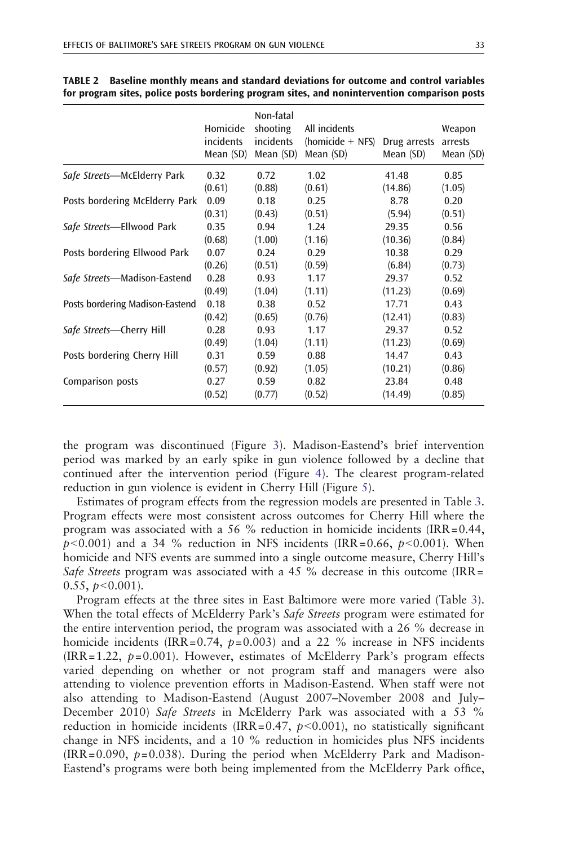|                                 | Homicide<br>incidents<br>Mean (SD) | Non-fatal<br>shooting<br>incidents<br>Mean (SD) | All incidents<br>$(homicide + NFS)$<br>Mean (SD) | Drug arrests<br>Mean (SD) | Weapon<br>arrests<br>Mean (SD) |
|---------------------------------|------------------------------------|-------------------------------------------------|--------------------------------------------------|---------------------------|--------------------------------|
| Safe Streets-McElderry Park     | 0.32                               | 0.72                                            | 1.02                                             | 41.48                     | 0.85                           |
|                                 | (0.61)                             | (0.88)                                          | (0.61)                                           | (14.86)                   | (1.05)                         |
| Posts bordering McElderry Park  | 0.09                               | 0.18                                            | 0.25                                             | 8.78                      | 0.20                           |
|                                 | (0.31)                             | (0.43)                                          | (0.51)                                           | (5.94)                    | (0.51)                         |
| Safe Streets-Ellwood Park       | 0.35                               | 0.94                                            | 1.24                                             | 29.35                     | 0.56                           |
|                                 | (0.68)                             | (1.00)                                          | (1.16)                                           | (10.36)                   | (0.84)                         |
| Posts bordering Ellwood Park    | 0.07                               | 0.24                                            | 0.29                                             | 10.38                     | 0.29                           |
|                                 | (0.26)                             | (0.51)                                          | (0.59)                                           | (6.84)                    | (0.73)                         |
| Safe Streets-Madison-Eastend    | 0.28                               | 0.93                                            | 1.17                                             | 29.37                     | 0.52                           |
|                                 | (0.49)                             | (1.04)                                          | (1.11)                                           | (11.23)                   | (0.69)                         |
| Posts bordering Madison-Eastend | 0.18                               | 0.38                                            | 0.52                                             | 17.71                     | 0.43                           |
|                                 | (0.42)                             | (0.65)                                          | (0.76)                                           | (12.41)                   | (0.83)                         |
| Safe Streets-Cherry Hill        | 0.28                               | 0.93                                            | 1.17                                             | 29.37                     | 0.52                           |
|                                 | (0.49)                             | (1.04)                                          | (1.11)                                           | (11.23)                   | (0.69)                         |
| Posts bordering Cherry Hill     | 0.31                               | 0.59                                            | 0.88                                             | 14.47                     | 0.43                           |
|                                 | (0.57)                             | (0.92)                                          | (1.05)                                           | (10.21)                   | (0.86)                         |
| Comparison posts                | 0.27                               | 0.59                                            | 0.82                                             | 23.84                     | 0.48                           |
|                                 | (0.52)                             | (0.77)                                          | (0.52)                                           | (14.49)                   | (0.85)                         |

<span id="page-6-0"></span>TABLE 2 Baseline monthly means and standard deviations for outcome and control variables for program sites, police posts bordering program sites, and nonintervention comparison posts

the program was discontinued (Figure [3\)](#page-7-0). Madison-Eastend's brief intervention period was marked by an early spike in gun violence followed by a decline that continued after the intervention period (Figure [4\)](#page-8-0). The clearest program-related reduction in gun violence is evident in Cherry Hill (Figure [5](#page-8-0)).

Estimates of program effects from the regression models are presented in Table [3.](#page-9-0) Program effects were most consistent across outcomes for Cherry Hill where the program was associated with a 56 % reduction in homicide incidents (IRR= $0.44$ ,  $p<0.001$ ) and a 34 % reduction in NFS incidents (IRR=0.66,  $p<0.001$ ). When homicide and NFS events are summed into a single outcome measure, Cherry Hill's Safe Streets program was associated with a 45 % decrease in this outcome (IRR=  $0.55, p<0.001$ ).

Program effects at the three sites in East Baltimore were more varied (Table [3\)](#page-9-0). When the total effects of McElderry Park's *Safe Streets* program were estimated for the entire intervention period, the program was associated with a 26 % decrease in homicide incidents (IRR=0.74,  $p=0.003$ ) and a 22 % increase in NFS incidents (IRR=1.22,  $p=0.001$ ). However, estimates of McElderry Park's program effects varied depending on whether or not program staff and managers were also attending to violence prevention efforts in Madison-Eastend. When staff were not also attending to Madison-Eastend (August 2007–November 2008 and July– December 2010) Safe Streets in McElderry Park was associated with a 53 % reduction in homicide incidents (IRR=0.47,  $p<0.001$ ), no statistically significant change in NFS incidents, and a 10 % reduction in homicides plus NFS incidents  $(IRR=0.090, p=0.038)$ . During the period when McElderry Park and Madison-Eastend's programs were both being implemented from the McElderry Park office,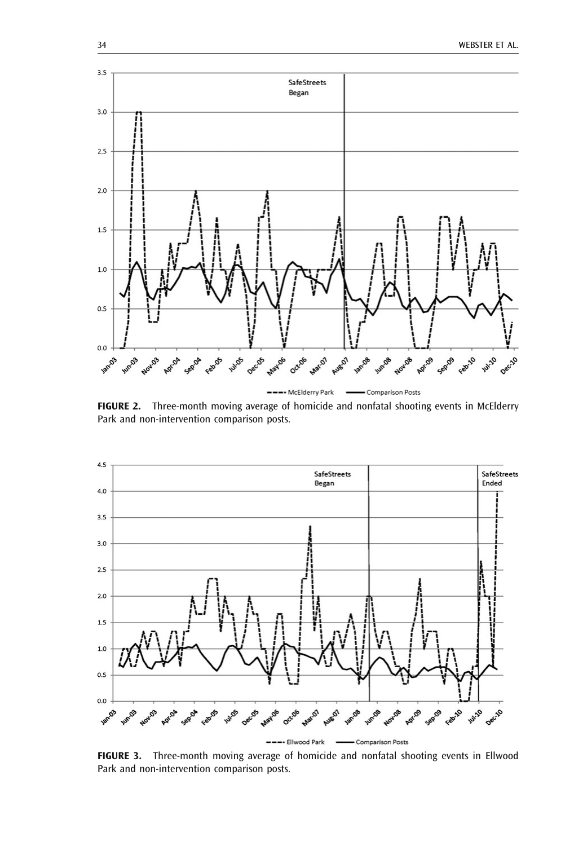<span id="page-7-0"></span>

FIGURE 2. Three-month moving average of homicide and nonfatal shooting events in McElderry Park and non-intervention comparison posts.



FIGURE 3. Three-month moving average of homicide and nonfatal shooting events in Ellwood Park and non-intervention comparison posts.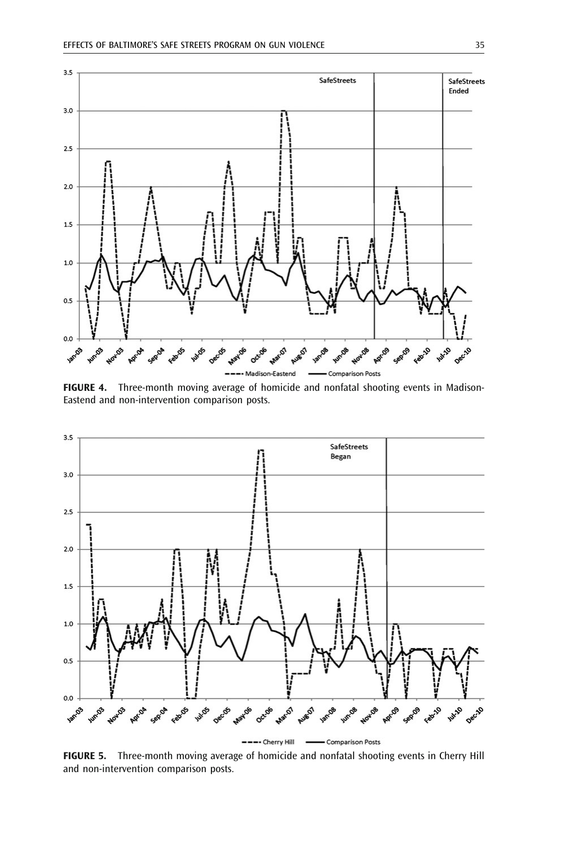<span id="page-8-0"></span>

FIGURE 4. Three-month moving average of homicide and nonfatal shooting events in Madison-Eastend and non-intervention comparison posts.



FIGURE 5. Three-month moving average of homicide and nonfatal shooting events in Cherry Hill and non-intervention comparison posts.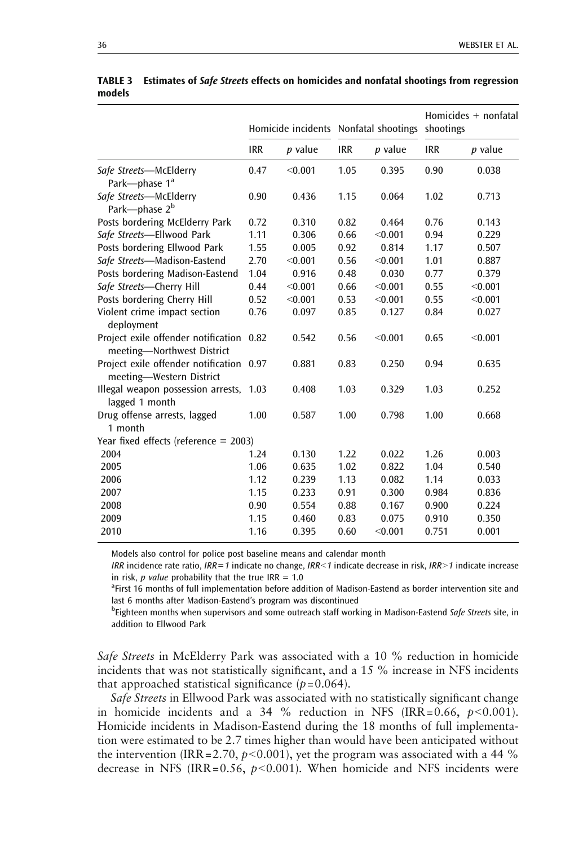|                                                                        | Homicide incidents Nonfatal shootings |                |            |                | Homicides + nonfatal<br>shootings |           |
|------------------------------------------------------------------------|---------------------------------------|----------------|------------|----------------|-----------------------------------|-----------|
|                                                                        | <b>IRR</b>                            | <i>p</i> value | <b>IRR</b> | <i>p</i> value | <b>IRR</b>                        | $p$ value |
| Safe Streets-McElderry<br>Park-phase 1 <sup>ª</sup>                    | 0.47                                  | < 0.001        | 1.05       | 0.395          | 0.90                              | 0.038     |
| Safe Streets-McElderry<br>Park-phase 2 <sup>b</sup>                    | 0.90                                  | 0.436          | 1.15       | 0.064          | 1.02                              | 0.713     |
| Posts bordering McElderry Park                                         | 0.72                                  | 0.310          | 0.82       | 0.464          | 0.76                              | 0.143     |
| Safe Streets-Ellwood Park                                              | 1.11                                  | 0.306          | 0.66       | < 0.001        | 0.94                              | 0.229     |
| Posts bordering Ellwood Park                                           | 1.55                                  | 0.005          | 0.92       | 0.814          | 1.17                              | 0.507     |
| Safe Streets-Madison-Eastend                                           | 2.70                                  | < 0.001        | 0.56       | < 0.001        | 1.01                              | 0.887     |
| Posts bordering Madison-Eastend                                        | 1.04                                  | 0.916          | 0.48       | 0.030          | 0.77                              | 0.379     |
| Safe Streets-Cherry Hill                                               | 0.44                                  | < 0.001        | 0.66       | < 0.001        | 0.55                              | < 0.001   |
| Posts bordering Cherry Hill                                            | 0.52                                  | < 0.001        | 0.53       | < 0.001        | 0.55                              | < 0.001   |
| Violent crime impact section<br>deployment                             | 0.76                                  | 0.097          | 0.85       | 0.127          | 0.84                              | 0.027     |
| Project exile offender notification 0.82<br>meeting-Northwest District |                                       | 0.542          | 0.56       | < 0.001        | 0.65                              | < 0.001   |
| Project exile offender notification 0.97<br>meeting-Western District   |                                       | 0.881          | 0.83       | 0.250          | 0.94                              | 0.635     |
| Illegal weapon possession arrests, 1.03<br>lagged 1 month              |                                       | 0.408          | 1.03       | 0.329          | 1.03                              | 0.252     |
| Drug offense arrests, lagged<br>1 month                                | 1.00                                  | 0.587          | 1.00       | 0.798          | 1.00                              | 0.668     |
| Year fixed effects (reference $= 2003$ )                               |                                       |                |            |                |                                   |           |
| 2004                                                                   | 1.24                                  | 0.130          | 1.22       | 0.022          | 1.26                              | 0.003     |
| 2005                                                                   | 1.06                                  | 0.635          | 1.02       | 0.822          | 1.04                              | 0.540     |
| 2006                                                                   | 1.12                                  | 0.239          | 1.13       | 0.082          | 1.14                              | 0.033     |
| 2007                                                                   | 1.15                                  | 0.233          | 0.91       | 0.300          | 0.984                             | 0.836     |
| 2008                                                                   | 0.90                                  | 0.554          | 0.88       | 0.167          | 0.900                             | 0.224     |
| 2009                                                                   | 1.15                                  | 0.460          | 0.83       | 0.075          | 0.910                             | 0.350     |
| 2010                                                                   | 1.16                                  | 0.395          | 0.60       | < 0.001        | 0.751                             | 0.001     |

<span id="page-9-0"></span>TABLE 3 Estimates of Safe Streets effects on homicides and nonfatal shootings from regression models

Models also control for police post baseline means and calendar month

IRR incidence rate ratio, IRR=1 indicate no change, IRR<1 indicate decrease in risk, IRR>1 indicate increase in risk, *p value* probability that the true IRR = 1.0

<sup>a</sup>First 16 months of full implementation before addition of Madison-Eastend as border intervention site and last 6 months after Madison-Eastend's program was discontinued

<sup>b</sup>Eighteen months when supervisors and some outreach staff working in Madison-Eastend Safe Streets site, in addition to Ellwood Park

Safe Streets in McElderry Park was associated with a 10 % reduction in homicide incidents that was not statistically significant, and a 15 % increase in NFS incidents that approached statistical significance  $(p=0.064)$ .

Safe Streets in Ellwood Park was associated with no statistically significant change in homicide incidents and a 34 % reduction in NFS (IRR=0.66,  $p<0.001$ ). Homicide incidents in Madison-Eastend during the 18 months of full implementation were estimated to be 2.7 times higher than would have been anticipated without the intervention (IRR=2.70,  $p<0.001$ ), yet the program was associated with a 44 % decrease in NFS (IRR=0.56,  $p<0.001$ ). When homicide and NFS incidents were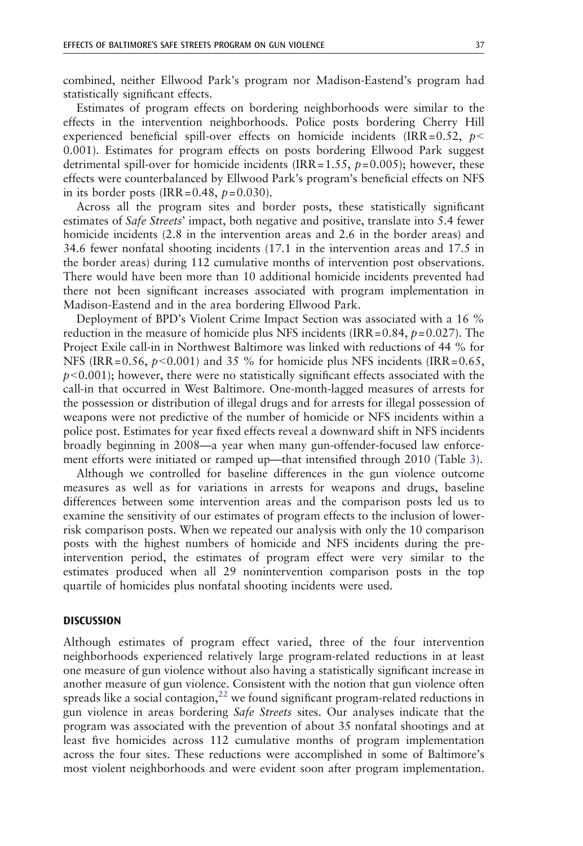combined, neither Ellwood Park's program nor Madison-Eastend's program had statistically significant effects.

Estimates of program effects on bordering neighborhoods were similar to the effects in the intervention neighborhoods. Police posts bordering Cherry Hill experienced beneficial spill-over effects on homicide incidents (IRR=0.52,  $p<$ 0.001). Estimates for program effects on posts bordering Ellwood Park suggest detrimental spill-over for homicide incidents (IRR=1.55,  $p=0.005$ ); however, these effects were counterbalanced by Ellwood Park's program's beneficial effects on NFS in its border posts (IRR=0.48,  $p=0.030$ ).

Across all the program sites and border posts, these statistically significant estimates of Safe Streets' impact, both negative and positive, translate into 5.4 fewer homicide incidents (2.8 in the intervention areas and 2.6 in the border areas) and 34.6 fewer nonfatal shooting incidents (17.1 in the intervention areas and 17.5 in the border areas) during 112 cumulative months of intervention post observations. There would have been more than 10 additional homicide incidents prevented had there not been significant increases associated with program implementation in Madison-Eastend and in the area bordering Ellwood Park.

Deployment of BPD's Violent Crime Impact Section was associated with a 16 % reduction in the measure of homicide plus NFS incidents (IRR =  $0.84$ ,  $p = 0.027$ ). The Project Exile call-in in Northwest Baltimore was linked with reductions of 44 % for NFS (IRR=0.56,  $p<0.001$ ) and 35 % for homicide plus NFS incidents (IRR=0.65,  $p<0.001$ ); however, there were no statistically significant effects associated with the call-in that occurred in West Baltimore. One-month-lagged measures of arrests for the possession or distribution of illegal drugs and for arrests for illegal possession of weapons were not predictive of the number of homicide or NFS incidents within a police post. Estimates for year fixed effects reveal a downward shift in NFS incidents broadly beginning in 2008—a year when many gun-offender-focused law enforcement efforts were initiated or ramped up—that intensified through 2010 (Table [3](#page-9-0)).

Although we controlled for baseline differences in the gun violence outcome measures as well as for variations in arrests for weapons and drugs, baseline differences between some intervention areas and the comparison posts led us to examine the sensitivity of our estimates of program effects to the inclusion of lowerrisk comparison posts. When we repeated our analysis with only the 10 comparison posts with the highest numbers of homicide and NFS incidents during the preintervention period, the estimates of program effect were very similar to the estimates produced when all 29 nonintervention comparison posts in the top quartile of homicides plus nonfatal shooting incidents were used.

## **DISCUSSION**

Although estimates of program effect varied, three of the four intervention neighborhoods experienced relatively large program-related reductions in at least one measure of gun violence without also having a statistically significant increase in another measure of gun violence. Consistent with the notion that gun violence often spreads like a social contagion,<sup>[22](#page-13-0)</sup> we found significant program-related reductions in gun violence in areas bordering Safe Streets sites. Our analyses indicate that the program was associated with the prevention of about 35 nonfatal shootings and at least five homicides across 112 cumulative months of program implementation across the four sites. These reductions were accomplished in some of Baltimore's most violent neighborhoods and were evident soon after program implementation.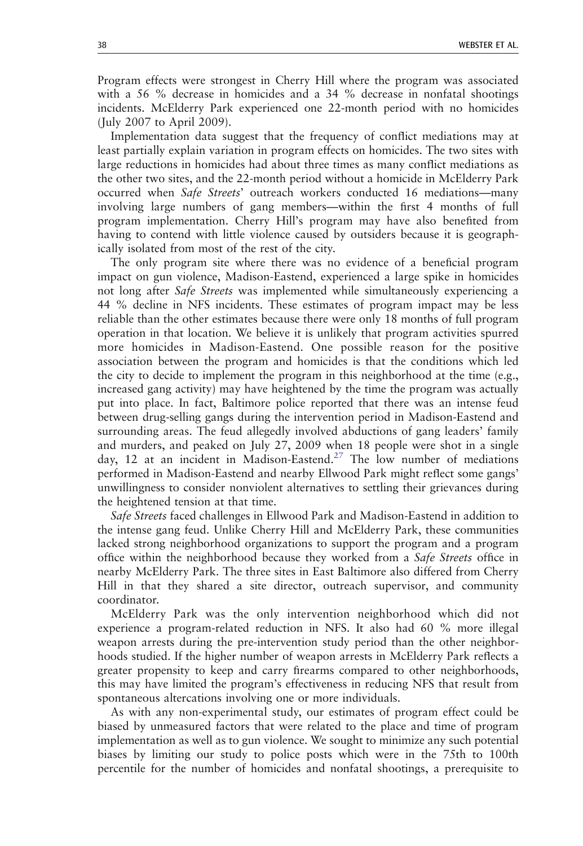Program effects were strongest in Cherry Hill where the program was associated with a 56 % decrease in homicides and a 34 % decrease in nonfatal shootings incidents. McElderry Park experienced one 22-month period with no homicides (July 2007 to April 2009).

Implementation data suggest that the frequency of conflict mediations may at least partially explain variation in program effects on homicides. The two sites with large reductions in homicides had about three times as many conflict mediations as the other two sites, and the 22-month period without a homicide in McElderry Park occurred when Safe Streets' outreach workers conducted 16 mediations—many involving large numbers of gang members—within the first 4 months of full program implementation. Cherry Hill's program may have also benefited from having to contend with little violence caused by outsiders because it is geographically isolated from most of the rest of the city.

The only program site where there was no evidence of a beneficial program impact on gun violence, Madison-Eastend, experienced a large spike in homicides not long after Safe Streets was implemented while simultaneously experiencing a 44 % decline in NFS incidents. These estimates of program impact may be less reliable than the other estimates because there were only 18 months of full program operation in that location. We believe it is unlikely that program activities spurred more homicides in Madison-Eastend. One possible reason for the positive association between the program and homicides is that the conditions which led the city to decide to implement the program in this neighborhood at the time (e.g., increased gang activity) may have heightened by the time the program was actually put into place. In fact, Baltimore police reported that there was an intense feud between drug-selling gangs during the intervention period in Madison-Eastend and surrounding areas. The feud allegedly involved abductions of gang leaders' family and murders, and peaked on July 27, 2009 when 18 people were shot in a single day, 12 at an incident in Madison-Eastend.<sup>27</sup> The low number of mediations performed in Madison-Eastend and nearby Ellwood Park might reflect some gangs' unwillingness to consider nonviolent alternatives to settling their grievances during the heightened tension at that time.

Safe Streets faced challenges in Ellwood Park and Madison-Eastend in addition to the intense gang feud. Unlike Cherry Hill and McElderry Park, these communities lacked strong neighborhood organizations to support the program and a program office within the neighborhood because they worked from a Safe Streets office in nearby McElderry Park. The three sites in East Baltimore also differed from Cherry Hill in that they shared a site director, outreach supervisor, and community coordinator.

McElderry Park was the only intervention neighborhood which did not experience a program-related reduction in NFS. It also had 60 % more illegal weapon arrests during the pre-intervention study period than the other neighborhoods studied. If the higher number of weapon arrests in McElderry Park reflects a greater propensity to keep and carry firearms compared to other neighborhoods, this may have limited the program's effectiveness in reducing NFS that result from spontaneous altercations involving one or more individuals.

As with any non-experimental study, our estimates of program effect could be biased by unmeasured factors that were related to the place and time of program implementation as well as to gun violence. We sought to minimize any such potential biases by limiting our study to police posts which were in the 75th to 100th percentile for the number of homicides and nonfatal shootings, a prerequisite to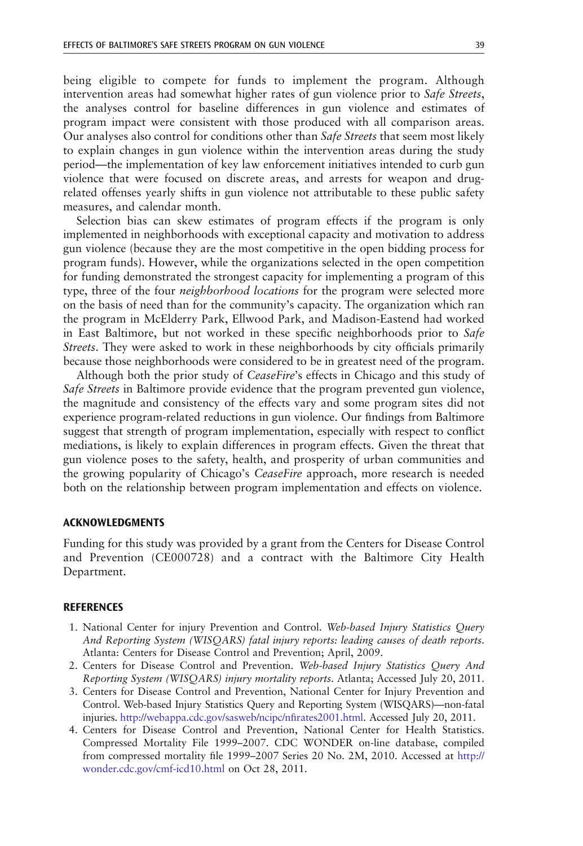<span id="page-12-0"></span>being eligible to compete for funds to implement the program. Although intervention areas had somewhat higher rates of gun violence prior to Safe Streets, the analyses control for baseline differences in gun violence and estimates of program impact were consistent with those produced with all comparison areas. Our analyses also control for conditions other than Safe Streets that seem most likely to explain changes in gun violence within the intervention areas during the study period—the implementation of key law enforcement initiatives intended to curb gun violence that were focused on discrete areas, and arrests for weapon and drugrelated offenses yearly shifts in gun violence not attributable to these public safety measures, and calendar month.

Selection bias can skew estimates of program effects if the program is only implemented in neighborhoods with exceptional capacity and motivation to address gun violence (because they are the most competitive in the open bidding process for program funds). However, while the organizations selected in the open competition for funding demonstrated the strongest capacity for implementing a program of this type, three of the four *neighborhood locations* for the program were selected more on the basis of need than for the community's capacity. The organization which ran the program in McElderry Park, Ellwood Park, and Madison-Eastend had worked in East Baltimore, but not worked in these specific neighborhoods prior to Safe Streets. They were asked to work in these neighborhoods by city officials primarily because those neighborhoods were considered to be in greatest need of the program.

Although both the prior study of CeaseFire's effects in Chicago and this study of Safe Streets in Baltimore provide evidence that the program prevented gun violence, the magnitude and consistency of the effects vary and some program sites did not experience program-related reductions in gun violence. Our findings from Baltimore suggest that strength of program implementation, especially with respect to conflict mediations, is likely to explain differences in program effects. Given the threat that gun violence poses to the safety, health, and prosperity of urban communities and the growing popularity of Chicago's CeaseFire approach, more research is needed both on the relationship between program implementation and effects on violence.

# ACKNOWLEDGMENTS

Funding for this study was provided by a grant from the Centers for Disease Control and Prevention (CE000728) and a contract with the Baltimore City Health Department.

## REFERENCES

- 1. National Center for injury Prevention and Control. Web-based Injury Statistics Query And Reporting System (WISQARS) fatal injury reports: leading causes of death reports. Atlanta: Centers for Disease Control and Prevention; April, 2009.
- 2. Centers for Disease Control and Prevention. Web-based Injury Statistics Query And Reporting System (WISQARS) injury mortality reports. Atlanta; Accessed July 20, 2011.
- 3. Centers for Disease Control and Prevention, National Center for Injury Prevention and Control. Web-based Injury Statistics Query and Reporting System (WISQARS)—non-fatal injuries. [http://webappa.cdc.gov/sasweb/ncipc/n](http://webappa.cdc.gov/sasweb/ncipc/nfirates2001.html)firates2001.html. Accessed July 20, 2011.
- 4. Centers for Disease Control and Prevention, National Center for Health Statistics. Compressed Mortality File 1999–2007. CDC WONDER on-line database, compiled from compressed mortality file 1999–2007 Series 20 No. 2M, 2010. Accessed at [http://](http://wonder.cdc.gov/cmf-icd10.html) [wonder.cdc.gov/cmf-icd10.html](http://wonder.cdc.gov/cmf-icd10.html) on Oct 28, 2011.